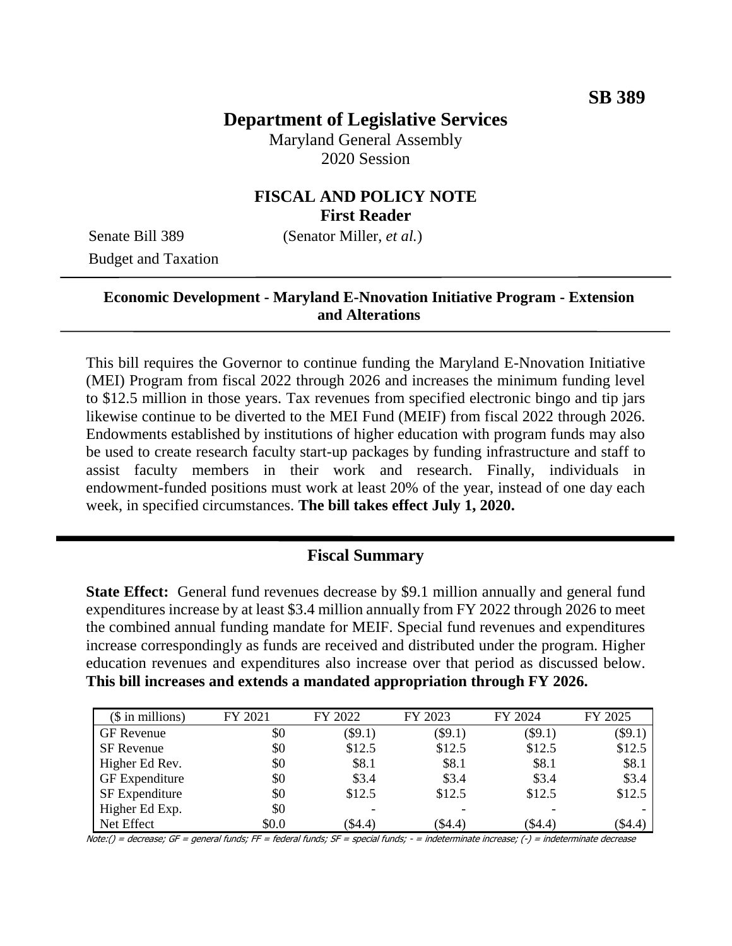# **Department of Legislative Services**

Maryland General Assembly 2020 Session

### **FISCAL AND POLICY NOTE First Reader**

Budget and Taxation

Senate Bill 389 (Senator Miller, *et al.*)

### **Economic Development - Maryland E-Nnovation Initiative Program - Extension and Alterations**

This bill requires the Governor to continue funding the Maryland E-Nnovation Initiative (MEI) Program from fiscal 2022 through 2026 and increases the minimum funding level to \$12.5 million in those years. Tax revenues from specified electronic bingo and tip jars likewise continue to be diverted to the MEI Fund (MEIF) from fiscal 2022 through 2026. Endowments established by institutions of higher education with program funds may also be used to create research faculty start-up packages by funding infrastructure and staff to assist faculty members in their work and research. Finally, individuals in endowment-funded positions must work at least 20% of the year, instead of one day each week, in specified circumstances. **The bill takes effect July 1, 2020.**

### **Fiscal Summary**

**State Effect:** General fund revenues decrease by \$9.1 million annually and general fund expenditures increase by at least \$3.4 million annually from FY 2022 through 2026 to meet the combined annual funding mandate for MEIF. Special fund revenues and expenditures increase correspondingly as funds are received and distributed under the program. Higher education revenues and expenditures also increase over that period as discussed below. **This bill increases and extends a mandated appropriation through FY 2026.**

| $($$ in millions)     | FY 2021 | FY 2022   | FY 2023   | FY 2024   | FY 2025   |
|-----------------------|---------|-----------|-----------|-----------|-----------|
| <b>GF</b> Revenue     | \$0     | $(\$9.1)$ | $(\$9.1)$ | $(\$9.1)$ | $(\$9.1)$ |
| <b>SF</b> Revenue     | \$0     | \$12.5    | \$12.5    | \$12.5    | \$12.5    |
| Higher Ed Rev.        | \$0     | \$8.1     | \$8.1     | \$8.1     | \$8.1     |
| <b>GF</b> Expenditure | \$0     | \$3.4     | \$3.4     | \$3.4     | \$3.4     |
| <b>SF</b> Expenditure | \$0     | \$12.5    | \$12.5    | \$12.5    | \$12.5    |
| Higher Ed Exp.        | \$0     |           |           |           |           |
| Net Effect            | \$0.0   | $(\$4.4)$ | $(\$4.4)$ | $(\$4.4)$ | $\$4.4)$  |

Note:() = decrease; GF = general funds; FF = federal funds; SF = special funds; - = indeterminate increase; (-) = indeterminate decrease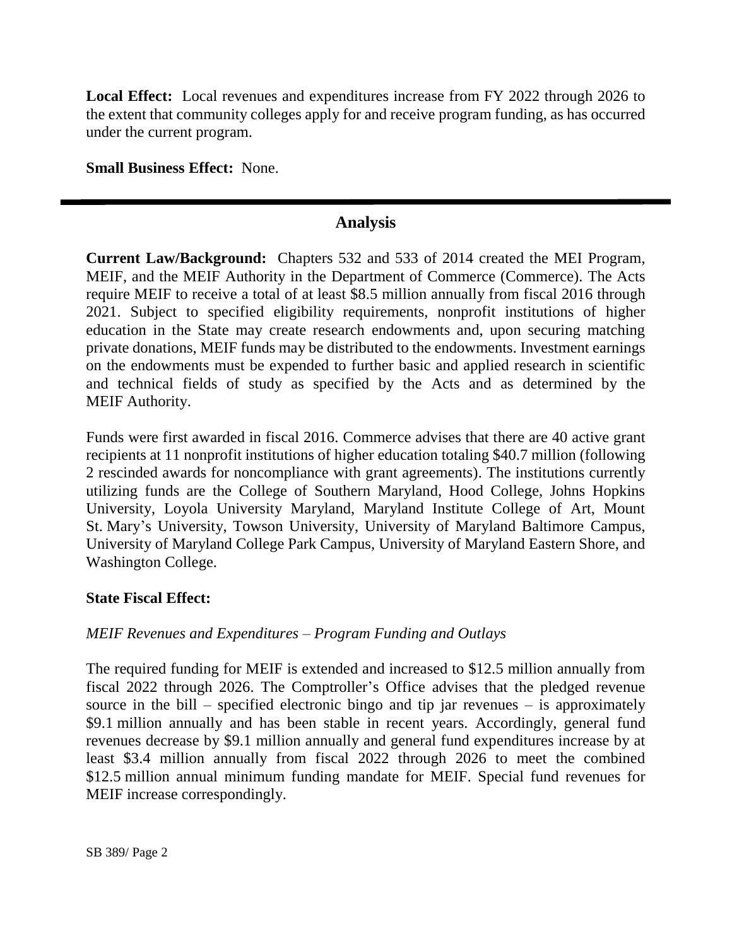**Local Effect:** Local revenues and expenditures increase from FY 2022 through 2026 to the extent that community colleges apply for and receive program funding, as has occurred under the current program.

**Small Business Effect:** None.

# **Analysis**

**Current Law/Background:** Chapters 532 and 533 of 2014 created the MEI Program, MEIF, and the MEIF Authority in the Department of Commerce (Commerce). The Acts require MEIF to receive a total of at least \$8.5 million annually from fiscal 2016 through 2021. Subject to specified eligibility requirements, nonprofit institutions of higher education in the State may create research endowments and, upon securing matching private donations, MEIF funds may be distributed to the endowments. Investment earnings on the endowments must be expended to further basic and applied research in scientific and technical fields of study as specified by the Acts and as determined by the MEIF Authority.

Funds were first awarded in fiscal 2016. Commerce advises that there are 40 active grant recipients at 11 nonprofit institutions of higher education totaling \$40.7 million (following 2 rescinded awards for noncompliance with grant agreements). The institutions currently utilizing funds are the College of Southern Maryland, Hood College, Johns Hopkins University, Loyola University Maryland, Maryland Institute College of Art, Mount St. Mary's University, Towson University, University of Maryland Baltimore Campus, University of Maryland College Park Campus, University of Maryland Eastern Shore, and Washington College.

### **State Fiscal Effect:**

### *MEIF Revenues and Expenditures – Program Funding and Outlays*

The required funding for MEIF is extended and increased to \$12.5 million annually from fiscal 2022 through 2026. The Comptroller's Office advises that the pledged revenue source in the bill – specified electronic bingo and tip jar revenues – is approximately \$9.1 million annually and has been stable in recent years. Accordingly, general fund revenues decrease by \$9.1 million annually and general fund expenditures increase by at least \$3.4 million annually from fiscal 2022 through 2026 to meet the combined \$12.5 million annual minimum funding mandate for MEIF. Special fund revenues for MEIF increase correspondingly.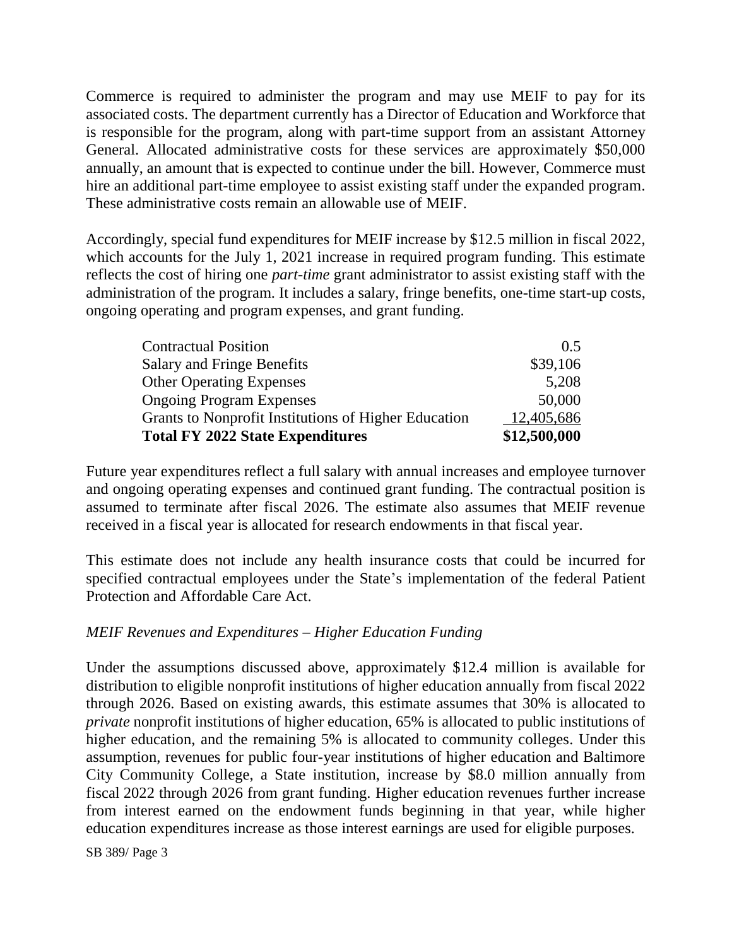Commerce is required to administer the program and may use MEIF to pay for its associated costs. The department currently has a Director of Education and Workforce that is responsible for the program, along with part-time support from an assistant Attorney General. Allocated administrative costs for these services are approximately \$50,000 annually, an amount that is expected to continue under the bill. However, Commerce must hire an additional part-time employee to assist existing staff under the expanded program. These administrative costs remain an allowable use of MEIF.

Accordingly, special fund expenditures for MEIF increase by \$12.5 million in fiscal 2022, which accounts for the July 1, 2021 increase in required program funding. This estimate reflects the cost of hiring one *part-time* grant administrator to assist existing staff with the administration of the program. It includes a salary, fringe benefits, one-time start-up costs, ongoing operating and program expenses, and grant funding.

| <b>Total FY 2022 State Expenditures</b>              | \$12,500,000 |
|------------------------------------------------------|--------------|
| Grants to Nonprofit Institutions of Higher Education | 12,405,686   |
| <b>Ongoing Program Expenses</b>                      | 50,000       |
| <b>Other Operating Expenses</b>                      | 5,208        |
| <b>Salary and Fringe Benefits</b>                    | \$39,106     |
| <b>Contractual Position</b>                          | 0.5          |

Future year expenditures reflect a full salary with annual increases and employee turnover and ongoing operating expenses and continued grant funding. The contractual position is assumed to terminate after fiscal 2026. The estimate also assumes that MEIF revenue received in a fiscal year is allocated for research endowments in that fiscal year.

This estimate does not include any health insurance costs that could be incurred for specified contractual employees under the State's implementation of the federal Patient Protection and Affordable Care Act.

### *MEIF Revenues and Expenditures – Higher Education Funding*

Under the assumptions discussed above, approximately \$12.4 million is available for distribution to eligible nonprofit institutions of higher education annually from fiscal 2022 through 2026. Based on existing awards, this estimate assumes that 30% is allocated to *private* nonprofit institutions of higher education, 65% is allocated to public institutions of higher education, and the remaining 5% is allocated to community colleges. Under this assumption, revenues for public four-year institutions of higher education and Baltimore City Community College, a State institution, increase by \$8.0 million annually from fiscal 2022 through 2026 from grant funding. Higher education revenues further increase from interest earned on the endowment funds beginning in that year, while higher education expenditures increase as those interest earnings are used for eligible purposes.

SB 389/ Page 3